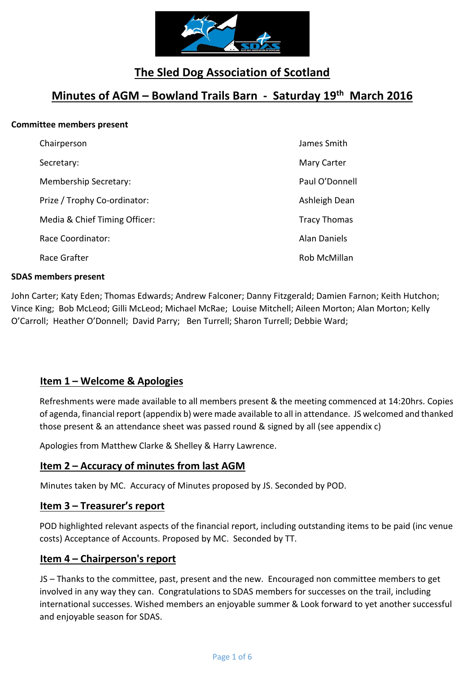

# **The Sled Dog Association of Scotland**

## **Minutes of AGM – Bowland Trails Barn - Saturday 19th March 2016**

#### **Committee members present**

| Chairperson                   | James Smith         |
|-------------------------------|---------------------|
| Secretary:                    | Mary Carter         |
| Membership Secretary:         | Paul O'Donnell      |
| Prize / Trophy Co-ordinator:  | Ashleigh Dean       |
| Media & Chief Timing Officer: | <b>Tracy Thomas</b> |
| Race Coordinator:             | <b>Alan Daniels</b> |
| Race Grafter                  | Rob McMillan        |

#### **SDAS members present**

John Carter; Katy Eden; Thomas Edwards; Andrew Falconer; Danny Fitzgerald; Damien Farnon; Keith Hutchon; Vince King; Bob McLeod; Gilli McLeod; Michael McRae; Louise Mitchell; Aileen Morton; Alan Morton; Kelly O'Carroll; Heather O'Donnell; David Parry; Ben Turrell; Sharon Turrell; Debbie Ward;

#### **Item 1 – Welcome & Apologies**

Refreshments were made available to all members present & the meeting commenced at 14:20hrs. Copies of agenda, financial report (appendix b) were made available to all in attendance. JS welcomed and thanked those present & an attendance sheet was passed round & signed by all (see appendix c)

Apologies from Matthew Clarke & Shelley & Harry Lawrence.

#### **Item 2 – Accuracy of minutes from last AGM**

Minutes taken by MC. Accuracy of Minutes proposed by JS. Seconded by POD.

#### **Item 3 – Treasurer's report**

POD highlighted relevant aspects of the financial report, including outstanding items to be paid (inc venue costs) Acceptance of Accounts. Proposed by MC. Seconded by TT.

#### **Item 4 – Chairperson's report**

JS – Thanks to the committee, past, present and the new. Encouraged non committee members to get involved in any way they can. Congratulations to SDAS members for successes on the trail, including international successes. Wished members an enjoyable summer & Look forward to yet another successful and enjoyable season for SDAS.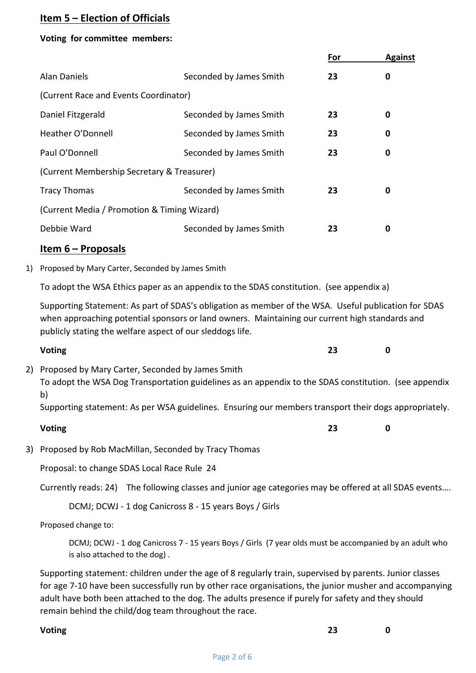#### **Item 5 – Election of Officials**

#### **Voting for committee members:**

|    |                                                           |                                                                                                                                                                                                        | <u>For</u> | <b>Against</b> |  |
|----|-----------------------------------------------------------|--------------------------------------------------------------------------------------------------------------------------------------------------------------------------------------------------------|------------|----------------|--|
|    | <b>Alan Daniels</b>                                       | Seconded by James Smith                                                                                                                                                                                | 23         | $\mathbf 0$    |  |
|    | (Current Race and Events Coordinator)                     |                                                                                                                                                                                                        |            |                |  |
|    | Daniel Fitzgerald                                         | Seconded by James Smith                                                                                                                                                                                | 23         | 0              |  |
|    | Heather O'Donnell                                         | Seconded by James Smith                                                                                                                                                                                | 23         | $\mathbf 0$    |  |
|    | Paul O'Donnell                                            | Seconded by James Smith                                                                                                                                                                                | 23         | $\mathbf 0$    |  |
|    | (Current Membership Secretary & Treasurer)                |                                                                                                                                                                                                        |            |                |  |
|    | <b>Tracy Thomas</b>                                       | Seconded by James Smith                                                                                                                                                                                | 23         | 0              |  |
|    | (Current Media / Promotion & Timing Wizard)               |                                                                                                                                                                                                        |            |                |  |
|    | Debbie Ward                                               | Seconded by James Smith                                                                                                                                                                                | 23         | 0              |  |
|    | <u>Item 6 – Proposals</u>                                 |                                                                                                                                                                                                        |            |                |  |
| 1) | Proposed by Mary Carter, Seconded by James Smith          |                                                                                                                                                                                                        |            |                |  |
|    |                                                           | To adopt the WSA Ethics paper as an appendix to the SDAS constitution. (see appendix a)                                                                                                                |            |                |  |
|    | publicly stating the welfare aspect of our sleddogs life. | Supporting Statement: As part of SDAS's obligation as member of the WSA. Useful publication for SDAS<br>when approaching potential sponsors or land owners. Maintaining our current high standards and |            |                |  |
|    | <b>Voting</b>                                             |                                                                                                                                                                                                        | 23         | 0              |  |
|    | 2) Proposed by Mary Carter, Seconded by James Smith       | To adopt the WSA Dog Transportation guidelines as an appendix to the SDAS constitution. (see appendix                                                                                                  |            |                |  |

b)

Supporting statement: As per WSA guidelines. Ensuring our members transport their dogs appropriately.

| <b>Voting</b> |  | <br>ر ے | 0 |
|---------------|--|---------|---|
|               |  |         |   |

3) Proposed by Rob MacMillan, Seconded by Tracy Thomas

Proposal: to change SDAS Local Race Rule 24

Currently reads: 24) The following classes and junior age categories may be offered at all SDAS events….

DCMJ; DCWJ - 1 dog Canicross 8 - 15 years Boys / Girls

Proposed change to:

DCMJ; DCWJ - 1 dog Canicross 7 - 15 years Boys / Girls (7 year olds must be accompanied by an adult who is also attached to the dog) .

Supporting statement: children under the age of 8 regularly train, supervised by parents. Junior classes for age 7-10 have been successfully run by other race organisations, the junior musher and accompanying adult have both been attached to the dog. The adults presence if purely for safety and they should remain behind the child/dog team throughout the race.

#### **Voting 23 0**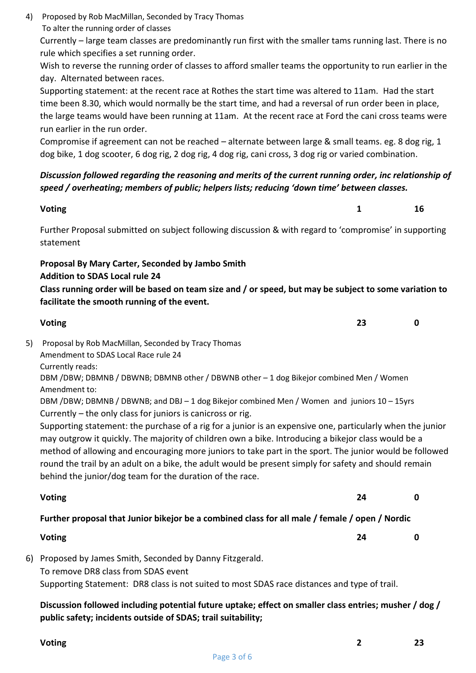4) Proposed by Rob MacMillan, Seconded by Tracy Thomas To alter the running order of classes

Currently – large team classes are predominantly run first with the smaller tams running last. There is no rule which specifies a set running order.

Wish to reverse the running order of classes to afford smaller teams the opportunity to run earlier in the day. Alternated between races.

Supporting statement: at the recent race at Rothes the start time was altered to 11am. Had the start time been 8.30, which would normally be the start time, and had a reversal of run order been in place, the large teams would have been running at 11am. At the recent race at Ford the cani cross teams were run earlier in the run order.

Compromise if agreement can not be reached – alternate between large & small teams. eg. 8 dog rig, 1 dog bike, 1 dog scooter, 6 dog rig, 2 dog rig, 4 dog rig, cani cross, 3 dog rig or varied combination.

#### *Discussion followed regarding the reasoning and merits of the current running order, inc relationship of speed / overheating; members of public; helpers lists; reducing 'down time' between classes.*

#### **Voting 1 16**

Further Proposal submitted on subject following discussion & with regard to 'compromise' in supporting statement

#### **Proposal By Mary Carter, Seconded by Jambo Smith**

#### **Addition to SDAS Local rule 24**

**Class running order will be based on team size and / or speed, but may be subject to some variation to facilitate the smooth running of the event.**

#### **Voting 23 0** 5) Proposal by Rob MacMillan, Seconded by Tracy Thomas Amendment to SDAS Local Race rule 24 Currently reads: DBM /DBW; DBMNB / DBWNB; DBMNB other / DBWNB other – 1 dog Bikejor combined Men / Women Amendment to: DBM /DBW; DBMNB / DBWNB; and DBJ – 1 dog Bikejor combined Men / Women and juniors 10 – 15yrs

Currently – the only class for juniors is canicross or rig.

Supporting statement: the purchase of a rig for a junior is an expensive one, particularly when the junior may outgrow it quickly. The majority of children own a bike. Introducing a bikejor class would be a method of allowing and encouraging more juniors to take part in the sport. The junior would be followed round the trail by an adult on a bike, the adult would be present simply for safety and should remain behind the junior/dog team for the duration of the race.

**Voting 24 0**

### **Further proposal that Junior bikejor be a combined class for all male / female / open / Nordic**

#### **Voting 24 0**

6) Proposed by James Smith, Seconded by Danny Fitzgerald. To remove DR8 class from SDAS event Supporting Statement: DR8 class is not suited to most SDAS race distances and type of trail.

**Discussion followed including potential future uptake; effect on smaller class entries; musher / dog / public safety; incidents outside of SDAS; trail suitability;**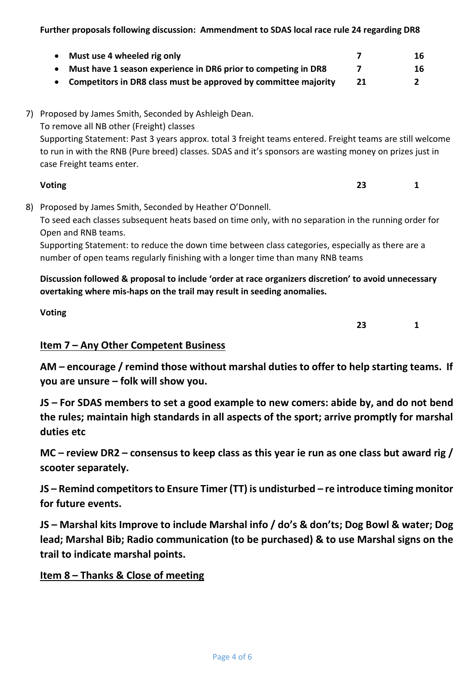**Further proposals following discussion: Ammendment to SDAS local race rule 24 regarding DR8** 

| Must use 4 wheeled rig only                                     | 16 |
|-----------------------------------------------------------------|----|
| Must have 1 season experience in DR6 prior to competing in DR8  | 16 |
| Competitors in DR8 class must be approved by committee majority |    |

7) Proposed by James Smith, Seconded by Ashleigh Dean.

To remove all NB other (Freight) classes

Supporting Statement: Past 3 years approx. total 3 freight teams entered. Freight teams are still welcome to run in with the RNB (Pure breed) classes. SDAS and it's sponsors are wasting money on prizes just in case Freight teams enter.

# **Voting 23 1**

8) Proposed by James Smith, Seconded by Heather O'Donnell. To seed each classes subsequent heats based on time only, with no separation in the running order for

Open and RNB teams. Supporting Statement: to reduce the down time between class categories, especially as there are a

number of open teams regularly finishing with a longer time than many RNB teams

**Discussion followed & proposal to include 'order at race organizers discretion' to avoid unnecessary overtaking where mis-haps on the trail may result in seeding anomalies.**

### **Item 7 – Any Other Competent Business**

**Voting**

**AM – encourage / remind those without marshal duties to offer to help starting teams. If you are unsure – folk will show you.**

**JS – For SDAS members to set a good example to new comers: abide by, and do not bend the rules; maintain high standards in all aspects of the sport; arrive promptly for marshal duties etc**

**MC – review DR2 – consensus to keep class as this year ie run as one class but award rig / scooter separately.**

**JS – Remind competitors to Ensure Timer (TT) is undisturbed – re introduce timing monitor for future events.**

**JS – Marshal kits Improve to include Marshal info / do's & don'ts; Dog Bowl & water; Dog lead; Marshal Bib; Radio communication (to be purchased) & to use Marshal signs on the trail to indicate marshal points.**

### **Item 8 – Thanks & Close of meeting**

**23 1**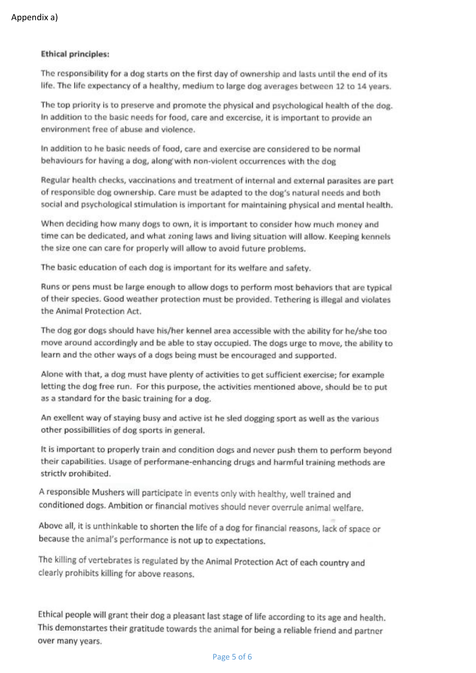#### **Ethical principles:**

The responsibility for a dog starts on the first day of ownership and lasts until the end of its life. The life expectancy of a healthy, medium to large dog averages between 12 to 14 years.

The top priority is to preserve and promote the physical and psychological health of the dog. In addition to the basic needs for food, care and excercise, it is important to provide an environment free of abuse and violence.

In addition to he basic needs of food, care and exercise are considered to be normal behaviours for having a dog, along with non-violent occurrences with the dog

Regular health checks, vaccinations and treatment of internal and external parasites are part of responsible dog ownership. Care must be adapted to the dog's natural needs and both social and psychological stimulation is important for maintaining physical and mental health.

When deciding how many dogs to own, it is important to consider how much money and time can be dedicated, and what zoning laws and living situation will allow. Keeping kennels the size one can care for properly will allow to avoid future problems.

The basic education of each dog is important for its welfare and safety.

Runs or pens must be large enough to allow dogs to perform most behaviors that are typical of their species. Good weather protection must be provided. Tethering is illegal and violates the Animal Protection Act.

The dog gor dogs should have his/her kennel area accessible with the ability for he/she too move around accordingly and be able to stay occupied. The dogs urge to move, the ability to learn and the other ways of a dogs being must be encouraged and supported.

Alone with that, a dog must have plenty of activities to get sufficient exercise; for example letting the dog free run. For this purpose, the activities mentioned above, should be to put as a standard for the basic training for a dog.

An exellent way of staying busy and active ist he sled dogging sport as well as the various other possibillities of dog sports in general.

It is important to properly train and condition dogs and never push them to perform beyond their capabilities. Usage of performane-enhancing drugs and harmful training methods are strictly prohibited.

A responsible Mushers will participate in events only with healthy, well trained and conditioned dogs. Ambition or financial motives should never overrule animal welfare.

Above all, it is unthinkable to shorten the life of a dog for financial reasons, lack of space or because the animal's performance is not up to expectations.

The killing of vertebrates is regulated by the Animal Protection Act of each country and clearly prohibits killing for above reasons.

Ethical people will grant their dog a pleasant last stage of life according to its age and health. This demonstartes their gratitude towards the animal for being a reliable friend and partner over many years.